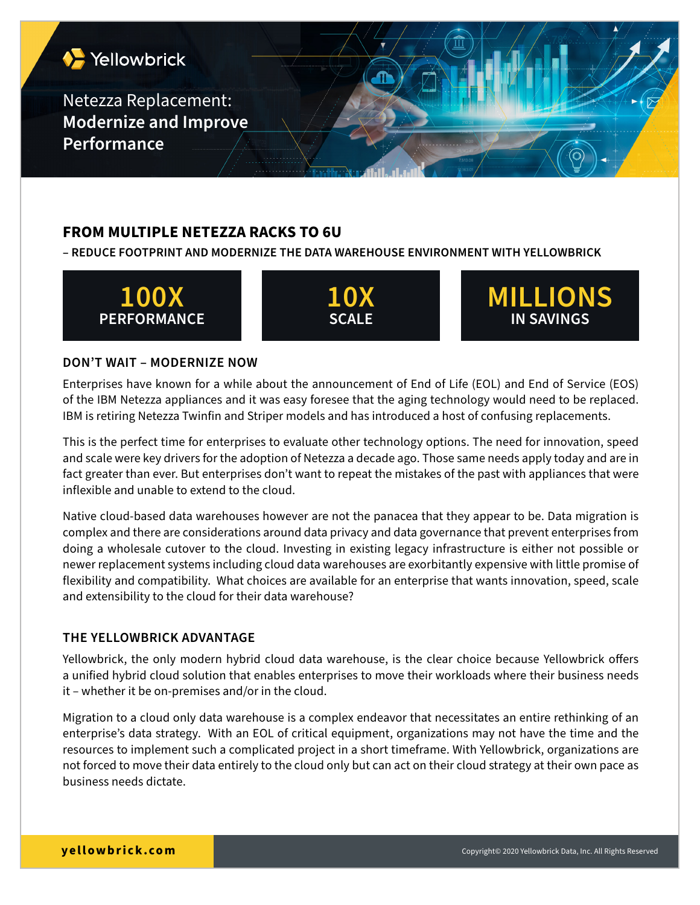

# **FROM MULTIPLE NETEZZA RACKS TO 6U**

**– REDUCE FOOTPRINT AND MODERNIZE THE DATA WAREHOUSE ENVIRONMENT WITH YELLOWBRICK**



#### **DON'T WAIT – MODERNIZE NOW**

Enterprises have known for a while about the announcement of End of Life (EOL) and End of Service (EOS) of the IBM Netezza appliances and it was easy foresee that the aging technology would need to be replaced. IBM is retiring Netezza Twinfin and Striper models and has introduced a host of confusing replacements.

This is the perfect time for enterprises to evaluate other technology options. The need for innovation, speed and scale were key drivers for the adoption of Netezza a decade ago. Those same needs apply today and are in fact greater than ever. But enterprises don't want to repeat the mistakes of the past with appliances that were inflexible and unable to extend to the cloud.

Native cloud-based data warehouses however are not the panacea that they appear to be. Data migration is complex and there are considerations around data privacy and data governance that prevent enterprises from doing a wholesale cutover to the cloud. Investing in existing legacy infrastructure is either not possible or newer replacement systems including cloud data warehouses are exorbitantly expensive with little promise of flexibility and compatibility. What choices are available for an enterprise that wants innovation, speed, scale and extensibility to the cloud for their data warehouse?

## **THE YELLOWBRICK ADVANTAGE**

Yellowbrick, the only modern hybrid cloud data warehouse, is the clear choice because Yellowbrick offers a unified hybrid cloud solution that enables enterprises to move their workloads where their business needs it – whether it be on-premises and/or in the cloud.

Migration to a cloud only data warehouse is a complex endeavor that necessitates an entire rethinking of an enterprise's data strategy. With an EOL of critical equipment, organizations may not have the time and the resources to implement such a complicated project in a short timeframe. With Yellowbrick, organizations are not forced to move their data entirely to the cloud only but can act on their cloud strategy at their own pace as business needs dictate.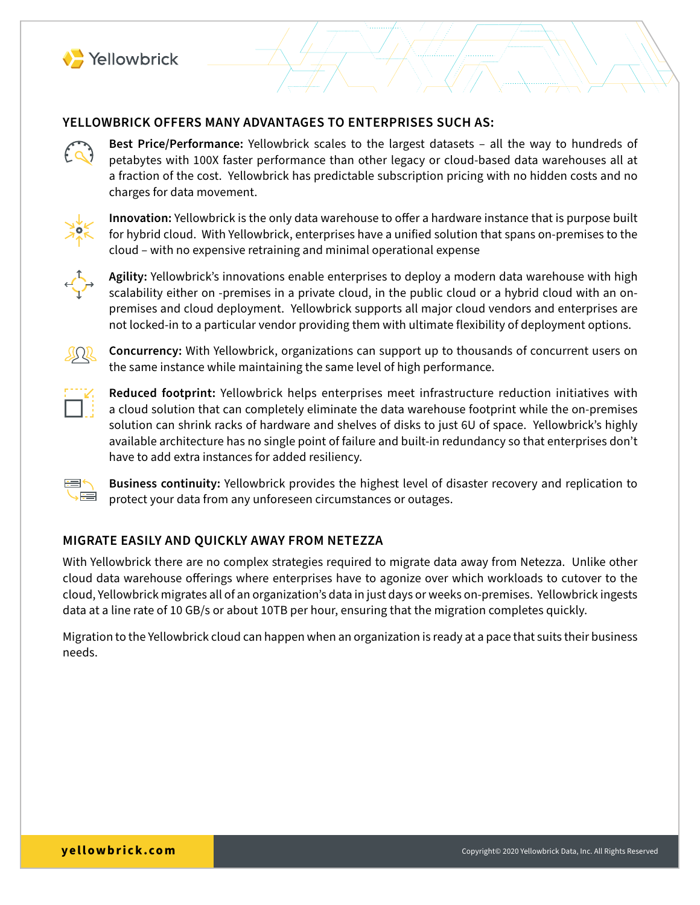

#### **YELLOWBRICK OFFERS MANY ADVANTAGES TO ENTERPRISES SUCH AS:**

**Best Price/Performance:** Yellowbrick scales to the largest datasets – all the way to hundreds of petabytes with 100X faster performance than other legacy or cloud-based data warehouses all at a fraction of the cost. Yellowbrick has predictable subscription pricing with no hidden costs and no

charges for data movement.

**Innovation:** Yellowbrick is the only data warehouse to offer a hardware instance that is purpose built for hybrid cloud. With Yellowbrick, enterprises have a unified solution that spans on-premises to the cloud – with no expensive retraining and minimal operational expense



**Agility:** Yellowbrick's innovations enable enterprises to deploy a modern data warehouse with high scalability either on -premises in a private cloud, in the public cloud or a hybrid cloud with an onpremises and cloud deployment. Yellowbrick supports all major cloud vendors and enterprises are not locked-in to a particular vendor providing them with ultimate flexibility of deployment options.



**Concurrency:** With Yellowbrick, organizations can support up to thousands of concurrent users on the same instance while maintaining the same level of high performance.



**Reduced footprint:** Yellowbrick helps enterprises meet infrastructure reduction initiatives with a cloud solution that can completely eliminate the data warehouse footprint while the on-premises solution can shrink racks of hardware and shelves of disks to just 6U of space. Yellowbrick's highly available architecture has no single point of failure and built-in redundancy so that enterprises don't have to add extra instances for added resiliency.



**Business continuity:** Yellowbrick provides the highest level of disaster recovery and replication to protect your data from any unforeseen circumstances or outages.

# **MIGRATE EASILY AND QUICKLY AWAY FROM NETEZZA**

With Yellowbrick there are no complex strategies required to migrate data away from Netezza. Unlike other cloud data warehouse offerings where enterprises have to agonize over which workloads to cutover to the cloud, Yellowbrick migrates all of an organization's data in just days or weeks on-premises. Yellowbrick ingests data at a line rate of 10 GB/s or about 10TB per hour, ensuring that the migration completes quickly.

Migration to the Yellowbrick cloud can happen when an organization is ready at a pace that suits their business needs.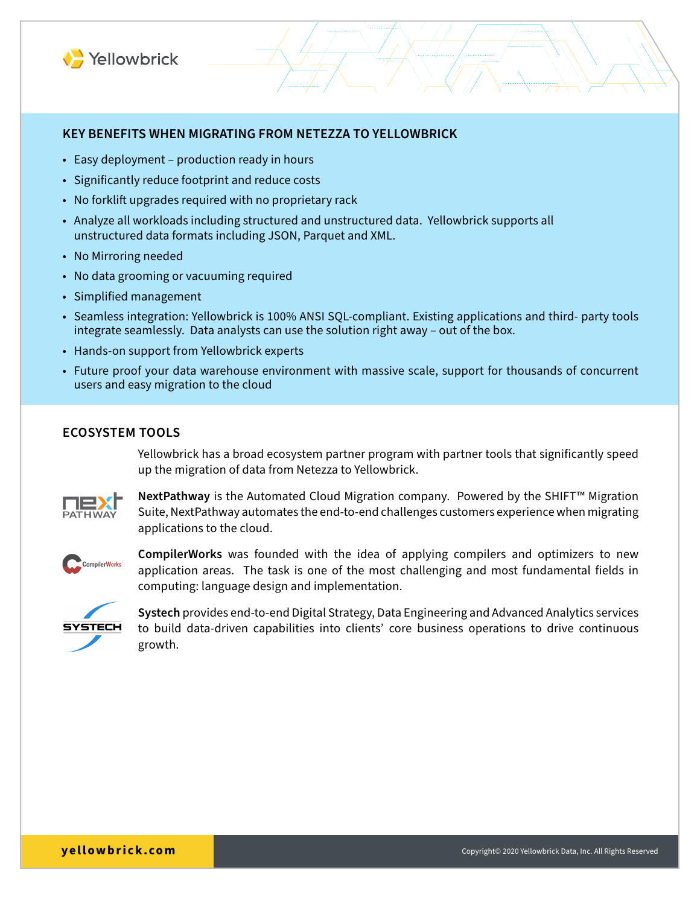

#### **KEY BENEFITS WHEN MIGRATING FROM NETEZZA TO YELLOWBRICK**

- Easy deployment production ready in hours
- Significantly reduce footprint and reduce costs
- No forklift upgrades required with no proprietary rack
- Analyze all workloads including structured and unstructured data. Yellowbrick supports all unstructured data formats including JSON, Parquet and XML.
- No Mirroring needed
- No data grooming or vacuuming required
- Simplified management
- Seamless integration: Yellowbrick is 100% ANSI SQL-compliant. Existing applications and third- party tools integrate seamlessly. Data analysts can use the solution right away – out of the box.
- Hands-on support from Yellowbrick experts
- Future proof your data warehouse environment with massive scale, support for thousands of concurrent users and easy migration to the cloud

#### **ECOSYSTEM TOOLS**

Yellowbrick has a broad ecosystem partner program with partner tools that significantly speed up the migration of data from Netezza to Yellowbrick.



**NextPathway** is the Automated Cloud Migration company. Powered by the SHIFT™ Migration Suite, NextPathway automates the end-to-end challenges customers experience when migrating applications to the cloud.



**CompilerWorks** was founded with the idea of applying compilers and optimizers to new application areas. The task is one of the most challenging and most fundamental fields in computing: language design and implementation.



**Systech** provides end-to-end Digital Strategy, Data Engineering and Advanced Analytics services to build data-driven capabilities into clients' core business operations to drive continuous growth.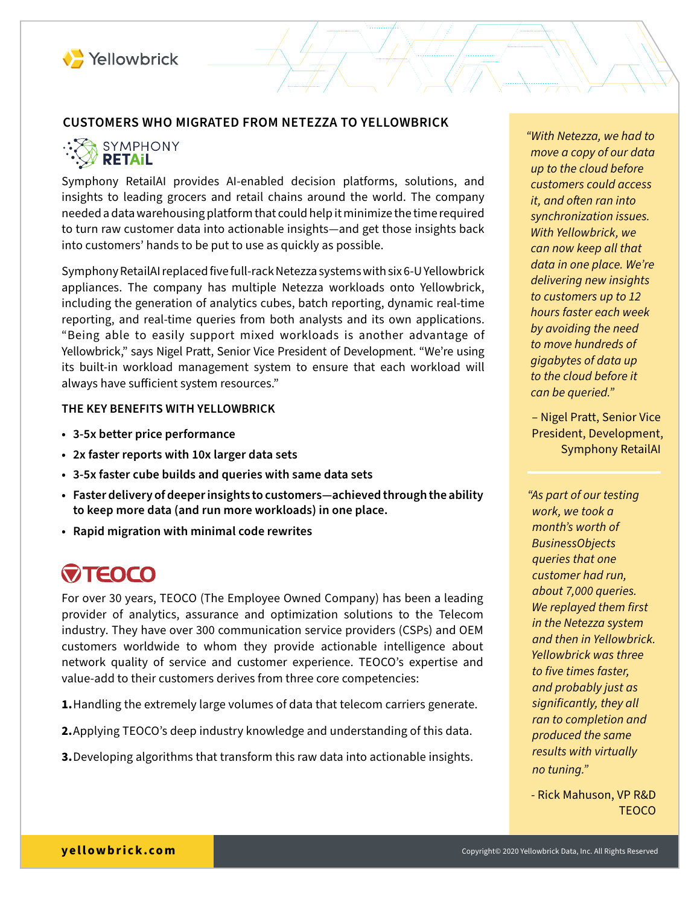

## **CUSTOMERS WHO MIGRATED FROM NETEZZA TO YELLOWBRICK**

SYMPHONY y Retail

Symphony RetailAI provides AI-enabled decision platforms, solutions, and insights to leading grocers and retail chains around the world. The company needed a data warehousing platform that could help it minimize the time required to turn raw customer data into actionable insights—and get those insights back into customers' hands to be put to use as quickly as possible.

Symphony RetailAI replaced five full-rack Netezza systems with six 6-U Yellowbrick appliances. The company has multiple Netezza workloads onto Yellowbrick, including the generation of analytics cubes, batch reporting, dynamic real-time reporting, and real-time queries from both analysts and its own applications. "Being able to easily support mixed workloads is another advantage of Yellowbrick," says Nigel Pratt, Senior Vice President of Development. "We're using its built-in workload management system to ensure that each workload will always have sufficient system resources."

#### **THE KEY BENEFITS WITH YELLOWBRICK**

- **• 3-5x better price performance**
- **• 2x faster reports with 10x larger data sets**
- **• 3-5x faster cube builds and queries with same data sets**
- **• Faster delivery of deeper insights to customers—achieved through the ability to keep more data (and run more workloads) in one place.**
- **• Rapid migration with minimal code rewrites**

# **WTEOCO**

For over 30 years, TEOCO (The Employee Owned Company) has been a leading provider of analytics, assurance and optimization solutions to the Telecom industry. They have over 300 communication service providers (CSPs) and OEM customers worldwide to whom they provide actionable intelligence about network quality of service and customer experience. TEOCO's expertise and value-add to their customers derives from three core competencies:

**1.**Handling the extremely large volumes of data that telecom carriers generate.

- **2.**Applying TEOCO's deep industry knowledge and understanding of this data.
- **3.**Developing algorithms that transform this raw data into actionable insights.

*"With Netezza, we had to move a copy of our data up to the cloud before customers could access it, and often ran into synchronization issues. With Yellowbrick, we can now keep all that data in one place. We're delivering new insights to customers up to 12 hours faster each week by avoiding the need to move hundreds of gigabytes of data up to the cloud before it can be queried."*

– Nigel Pratt, Senior Vice President, Development, Symphony RetailAI

*"As part of our testing work, we took a month's worth of BusinessObjects queries that one customer had run, about 7,000 queries. We replayed them first in the Netezza system and then in Yellowbrick. Yellowbrick was three to five times faster, and probably just as significantly, they all ran to completion and produced the same results with virtually no tuning."*

- Rick Mahuson, VP R&D **TEOCO**